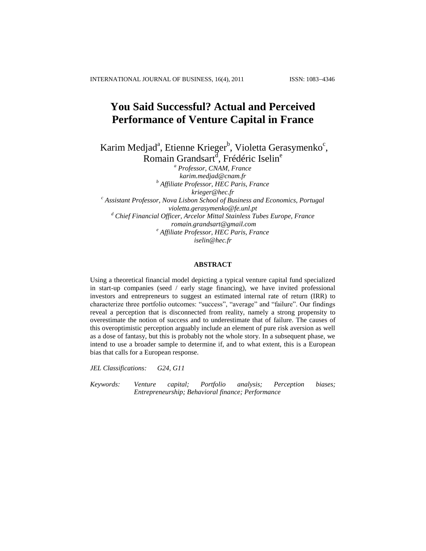INTERNATIONAL JOURNAL OF BUSINESS, 16(4), 2011 ISSN: 1083-4346

# **You Said Successful? Actual and Perceived Performance of Venture Capital in France**

Karim Medjad<sup>a</sup>, Etienne Krieger<sup>b</sup>, Violetta Gerasymenko<sup>c</sup>, Romain Grandsart<sup>d</sup>, Frédéric Iselin<sup>e</sup>

*<sup>a</sup> Professor, CNAM, France [karim.medjad@cnam.fr](mailto:karim.medjad@cnam.fr) <sup>b</sup> Affiliate Professor, HEC Paris, France [krieger@hec.fr](mailto:krieger@hec.fr) <sup>c</sup> Assistant Professor, Nova Lisbon School of Business and Economics, Portugal [violetta.gerasymenko@fe.unl.pt](mailto:violetta.gerasymenko@fe.unl.pt) <sup>d</sup> Chief Financial Officer, Arcelor Mittal Stainless Tubes Europe, France [romain.grandsart@gmail.com](mailto:romain.grandsart@gmail.com) <sup>e</sup> Affiliate Professor, HEC Paris, France [iselin@hec.fr](mailto:iselin@hec.fr)*

### **ABSTRACT**

Using a theoretical financial model depicting a typical venture capital fund specialized in start-up companies (seed / early stage financing), we have invited professional investors and entrepreneurs to suggest an estimated internal rate of return (IRR) to characterize three portfolio outcomes: "success", "average" and "failure". Our findings reveal a perception that is disconnected from reality, namely a strong propensity to overestimate the notion of success and to underestimate that of failure. The causes of this overoptimistic perception arguably include an element of pure risk aversion as well as a dose of fantasy, but this is probably not the whole story. In a subsequent phase, we intend to use a broader sample to determine if, and to what extent, this is a European bias that calls for a European response.

*JEL Classifications: G24, G11*

*Keywords: Venture capital; Portfolio analysis; Perception biases; Entrepreneurship; Behavioral finance; Performance*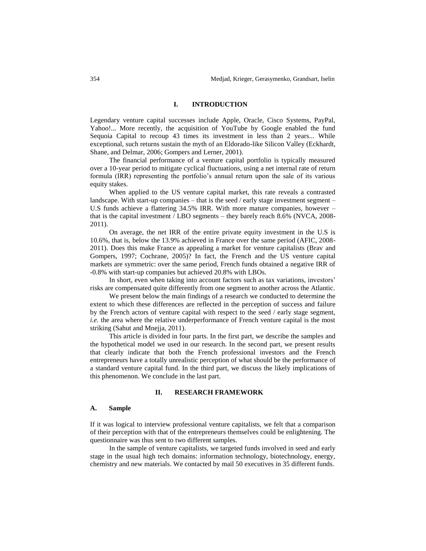### **I. INTRODUCTION**

Legendary venture capital successes include Apple, Oracle, Cisco Systems, PayPal, Yahoo!... More recently, the acquisition of YouTube by Google enabled the fund Sequoia Capital to recoup 43 times its investment in less than 2 years... While exceptional, such returns sustain the myth of an Eldorado-like Silicon Valley (Eckhardt, Shane, and Delmar, 2006; Gompers and Lerner, 2001).

The financial performance of a venture capital portfolio is typically measured over a 10-year period to mitigate cyclical fluctuations, using a net internal rate of return formula (IRR) representing the portfolio's annual return upon the sale of its various equity stakes.

When applied to the US venture capital market, this rate reveals a contrasted landscape. With start-up companies – that is the seed / early stage investment segment – U.S funds achieve a flattering 34.5% IRR. With more mature companies, however – that is the capital investment / LBO segments – they barely reach 8.6% (NVCA, 2008- 2011).

On average, the net IRR of the entire private equity investment in the U.S is 10.6%, that is, below the 13.9% achieved in France over the same period (AFIC, 2008- 2011). Does this make France as appealing a market for venture capitalists (Brav and Gompers, 1997; Cochrane, 2005)? In fact, the French and the US venture capital markets are symmetric: over the same period, French funds obtained a negative IRR of -0.8% with start-up companies but achieved 20.8% with LBOs.

In short, even when taking into account factors such as tax variations, investors' risks are compensated quite differently from one segment to another across the Atlantic.

We present below the main findings of a research we conducted to determine the extent to which these differences are reflected in the perception of success and failure by the French actors of venture capital with respect to the seed / early stage segment, *i.e.* the area where the relative underperformance of French venture capital is the most striking (Sahut and Mnejja, 2011).

This article is divided in four parts. In the first part, we describe the samples and the hypothetical model we used in our research. In the second part, we present results that clearly indicate that both the French professional investors and the French entrepreneurs have a totally unrealistic perception of what should be the performance of a standard venture capital fund. In the third part, we discuss the likely implications of this phenomenon. We conclude in the last part.

### **II. RESEARCH FRAMEWORK**

### **A. Sample**

If it was logical to interview professional venture capitalists, we felt that a comparison of their perception with that of the entrepreneurs themselves could be enlightening. The questionnaire was thus sent to two different samples.

In the sample of venture capitalists, we targeted funds involved in seed and early stage in the usual high tech domains: information technology, biotechnology, energy, chemistry and new materials. We contacted by mail 50 executives in 35 different funds.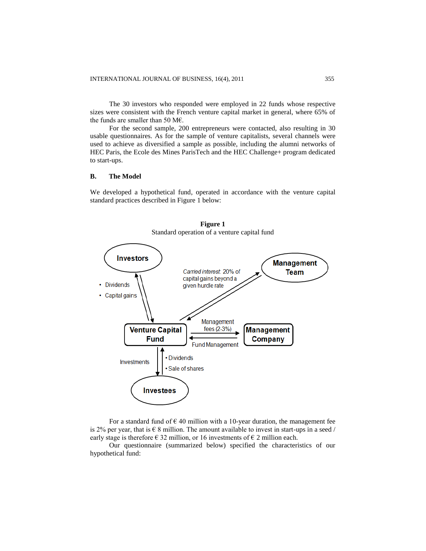The 30 investors who responded were employed in 22 funds whose respective sizes were consistent with the French venture capital market in general, where 65% of the funds are smaller than 50 M€.

For the second sample, 200 entrepreneurs were contacted, also resulting in 30 usable questionnaires. As for the sample of venture capitalists, several channels were used to achieve as diversified a sample as possible, including the alumni networks of HEC Paris, the Ecole des Mines ParisTech and the HEC Challenge+ program dedicated to start-ups.

## **B. The Model**

We developed a hypothetical fund, operated in accordance with the venture capital standard practices described in Figure 1 below:



**Figure 1** Standard operation of a venture capital fund

For a standard fund of  $\epsilon$  40 million with a 10-year duration, the management fee is 2% per year, that is  $\epsilon$  8 million. The amount available to invest in start-ups in a seed / early stage is therefore  $\in$  32 million, or 16 investments of  $\in$  2 million each.

Our questionnaire (summarized below) specified the characteristics of our hypothetical fund: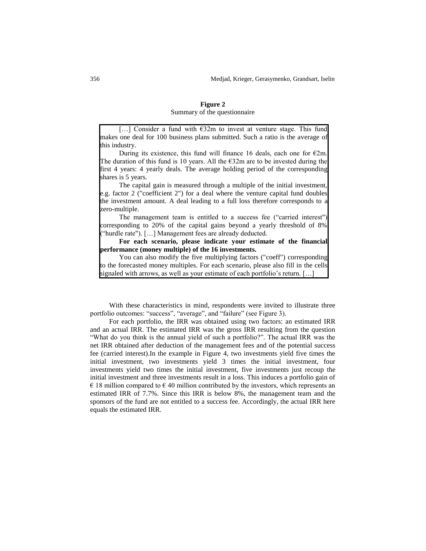## **Figure 2** Summary of the questionnaire

[…] Consider a fund with €32m to invest at venture stage. This fund makes one deal for 100 business plans submitted. Such a ratio is the average of this industry.

During its existence, this fund will finance 16 deals, each one for  $\epsilon$ 2m. The duration of this fund is 10 years. All the  $\epsilon$ 32m are to be invested during the first 4 years: 4 yearly deals. The average holding period of the corresponding shares is 5 years.

The capital gain is measured through a multiple of the initial investment, e.g. factor 2 ("coefficient 2") for a deal where the venture capital fund doubles the investment amount. A deal leading to a full loss therefore corresponds to a zero-multiple.

The management team is entitled to a success fee ("carried interest") corresponding to 20% of the capital gains beyond a yearly threshold of 8% ("hurdle rate"). […] Management fees are already deducted.

**For each scenario, please indicate your estimate of the financial performance (money multiple) of the 16 investments.** 

You can also modify the five multiplying factors ("coeff") corresponding to the forecasted money multiples. For each scenario, please also fill in the cells signaled with arrows, as well as your estimate of each portfolio's return. [...]

With these characteristics in mind, respondents were invited to illustrate three portfolio outcomes: "success", "average", and "failure" (see Figure 3).

For each portfolio, the IRR was obtained using two factors: an estimated IRR and an actual IRR. The estimated IRR was the gross IRR resulting from the question "What do you think is the annual yield of such a portfolio?". The actual IRR was the net IRR obtained after deduction of the management fees and of the potential success fee (carried interest).In the example in Figure 4, two investments yield five times the initial investment, two investments yield 3 times the initial investment, four investments yield two times the initial investment, five investments just recoup the initial investment and three investments result in a loss. This induces a portfolio gain of  $\epsilon$  18 million compared to  $\epsilon$  40 million contributed by the investors, which represents an estimated IRR of 7.7%. Since this IRR is below 8%, the management team and the sponsors of the fund are not entitled to a success fee. Accordingly, the actual IRR here equals the estimated IRR.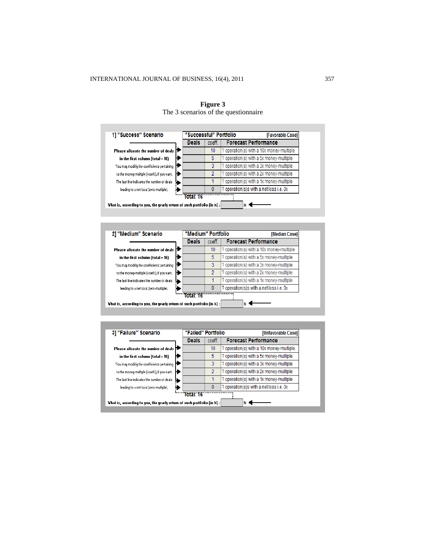

### **Figure 3** The 3 scenarios of the questionnaire



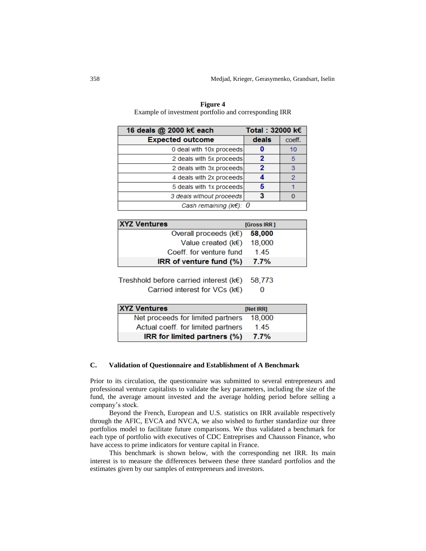| Total: 32000 k€<br>16 deals @ 2000 k€ each |       |        |
|--------------------------------------------|-------|--------|
| <b>Expected outcome</b>                    | deals | coeff. |
| 0 deal with 10x proceeds                   |       | 10     |
| 2 deals with 5x proceeds                   |       | 5      |
| 2 deals with 3x proceeds                   | 2     | 3      |
| 4 deals with 2x proceeds                   |       | 2      |
| 5 deals with 1x proceeds                   |       |        |
| 3 deals without proceeds                   |       |        |
| Cash remaining ( $k \in$ ): 0              |       |        |

**Figure 4** Example of investment portfolio and corresponding IRR

| <b>XYZ Ventures</b>                  | <b>[Gross IRR]</b> |  |
|--------------------------------------|--------------------|--|
| Overall proceeds $(k \in)$           | 58,000             |  |
| Value created ( $k \in \mathbb{R}$ ) | 18,000             |  |
| Coeff, for venture fund              | 145                |  |
| $IRR$ of venture fund $(\%)$         | 7.7%               |  |

Treshhold before carried interest (k€) 58.773  $\bf{0}$ 

Carried interest for VCs (k€)

| <b>XYZ Ventures</b>                | [Net IRR] |
|------------------------------------|-----------|
| Net proceeds for limited partners  | 18,000    |
| Actual coeff. for limited partners | 145       |
| IRR for limited partners (%)       | 7.7%      |

## **C. Validation of Questionnaire and Establishment of A Benchmark**

Prior to its circulation, the questionnaire was submitted to several entrepreneurs and professional venture capitalists to validate the key parameters, including the size of the fund, the average amount invested and the average holding period before selling a company's stock.

Beyond the French, European and U.S. statistics on IRR available respectively through the AFIC, EVCA and NVCA, we also wished to further standardize our three portfolios model to facilitate future comparisons. We thus validated a benchmark for each type of portfolio with executives of CDC Entreprises and Chausson Finance, who have access to prime indicators for venture capital in France.

This benchmark is shown below, with the corresponding net IRR. Its main interest is to measure the differences between these three standard portfolios and the estimates given by our samples of entrepreneurs and investors.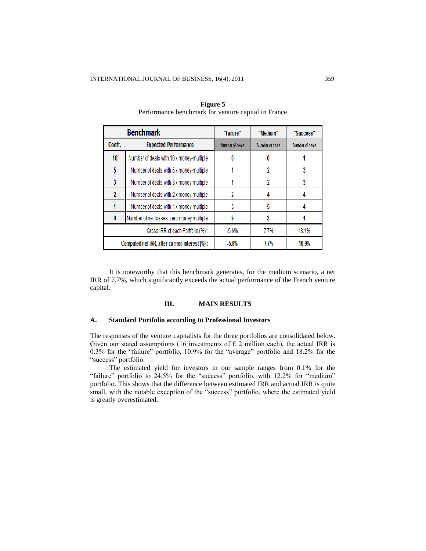|        | <b>Benchmark</b>                              | "Failure"       | "Medium"        | "Success"       |
|--------|-----------------------------------------------|-----------------|-----------------|-----------------|
| Coeff. | <b>Expected Performance</b>                   | Number of deals | Number of deals | Number of deals |
| 10     | Number of deals with 10 x money-multiple      |                 |                 |                 |
| 5      | Number of deals with 5 x money-multiple       |                 |                 |                 |
| 3      | Number of deals with 3 x money-multiple       |                 |                 |                 |
| 2      | Number of deals with 2 x money-multiple       | 2               |                 |                 |
|        | Number of deals with 1 x money-multiple       |                 | 5               |                 |
|        | Number of net losses: zero money multiple     | 9               |                 |                 |
|        | Gross IRR of each Portfolio (%):              | $-5.6%$         | 7.7%            | 18.1%           |
|        | Computed net IRR, after carried interest (%): | $-5.6%$         | 7.7%            | 16.9%           |

**Figure 5** Performance benchmark for venture capital in France

It is noteworthy that this benchmark generates, for the medium scenario, a net IRR of 7.7%, which significantly exceeds the actual performance of the French venture capital.

## **III. MAIN RESULTS**

### **A. Standard Portfolio according to Professional Investors**

The responses of the venture capitalists for the three portfolios are consolidated below. Given our stated assumptions (16 investments of  $\epsilon$  2 million each), the actual IRR is 0.3% for the "failure" portfolio, 10.9% for the "average" portfolio and 18.2% for the "success" portfolio.

The estimated yield for investors in our sample ranges from 0.1% for the "failure" portfolio to 24.5% for the "success" portfolio, with 12.2% for "medium" portfolio. This shows that the difference between estimated IRR and actual IRR is quite small, with the notable exception of the "success" portfolio, where the estimated yield is greatly overestimated.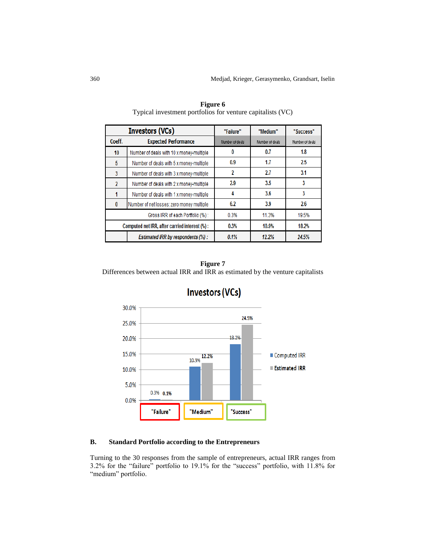|                          | <b>Investors (VCs)</b>                         | "Failure"       | "Medium"        | "Success"       |
|--------------------------|------------------------------------------------|-----------------|-----------------|-----------------|
| Coeff.                   | <b>Expected Performance</b>                    | Number of deals | Number of deals | Number of deals |
| 10                       | Number of deals with 10 x money-multiple       | 0               | 0.7             | 1.8             |
| 5                        | Number of deals with 5 x money-multiple        | 0.9             | 1.7             | 2.5             |
| 3                        | Number of deals with 3 x money-multiple        | 2               | 2.7             | 3.1             |
| $\overline{\phantom{a}}$ | Number of deals with 2 x money-multiple        | 2.9             | 3.5             | 3               |
|                          | Number of deals with 1 x money-multiple        | 4               | 3.6             | 3               |
| $\mathbf{0}$             | Number of net losses: zero money multiple      | 6.2             | 3.9             | 2.6             |
|                          | Gross IRR of each Portfolio (%):               | 0.3%            | 11.3%           | 19.5%           |
|                          | Computed net IRR, after carried interest (%) : | 0.3%            | 10.9%           | 18.2%           |
|                          | Estimated IRR by respondents (%) :             | 0.1%            | 12.2%           | 24.5%           |

**Figure 6** Typical investment portfolios for venture capitalists (VC)

## **Figure 7**

Differences between actual IRR and IRR as estimated by the venture capitalists



# **Investors (VCs)**

## **B. Standard Portfolio according to the Entrepreneurs**

Turning to the 30 responses from the sample of entrepreneurs, actual IRR ranges from 3.2% for the "failure" portfolio to 19.1% for the "success" portfolio, with 11.8% for "medium" portfolio.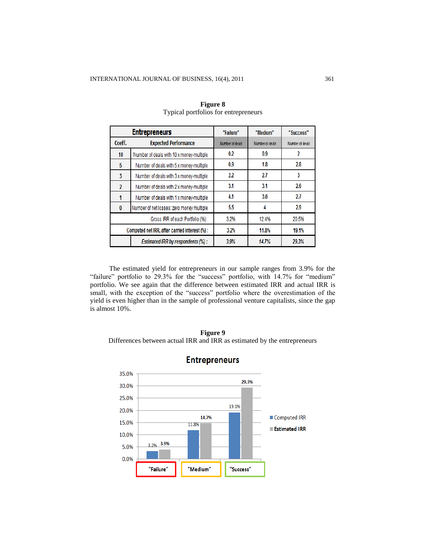|                | <b>Entrepreneurs</b>                           | "Failure"       | "Medium"        | "Success"       |
|----------------|------------------------------------------------|-----------------|-----------------|-----------------|
| Coeff.         | <b>Expected Performance</b>                    | Number of deals | Number of deals | Number of deals |
| 10             | Number of deals with 10 x money-multiple       | 0.2             | 0.9             | 2               |
| 5              | Number of deals with 5 x money-multiple        | 0.9             | 1.8             | 2.8             |
| 3              | Number of deals with 3 x money-multiple        | 2.2             | 2.7             | 3               |
| $\overline{2}$ | Number of deals with 2 x money-multiple        | 3.1             | 3.1             | 2.6             |
|                | Number of deals with 1 x money-multiple        | 4.1             | 3.6             | 2.7             |
| $\bf{0}$       | Number of net losses: zero money multiple      | 5.5             | 4               | 2.9             |
|                | Gross IRR of each Portfolio (%):               | 3.2%            | 12.4%           | 20.5%           |
|                | Computed net IRR, after carried interest (%) : | 3.2%            | 11.8%           | 19.1%           |
|                | Estimated IRR by respondents (%) :             | 3.9%            | 14.7%           | 29.3%           |

## **Figure 8** Typical portfolios for entrepreneurs

The estimated yield for entrepreneurs in our sample ranges from 3.9% for the "failure" portfolio to 29.3% for the "success" portfolio, with 14.7% for "medium" portfolio. We see again that the difference between estimated IRR and actual IRR is small, with the exception of the "success" portfolio where the overestimation of the yield is even higher than in the sample of professional venture capitalists, since the gap is almost 10%.

**Figure 9** Differences between actual IRR and IRR as estimated by the entrepreneurs



## **Entrepreneurs**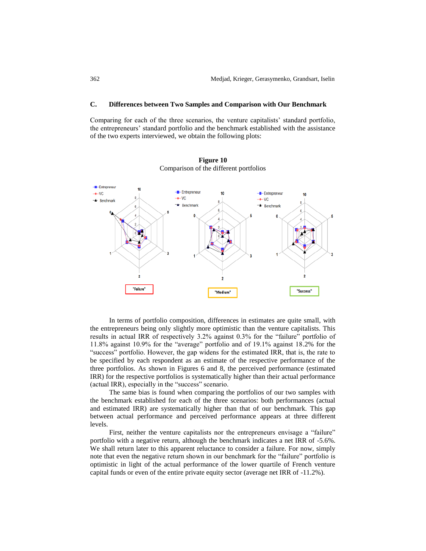## **C. Differences between Two Samples and Comparison with Our Benchmark**

Comparing for each of the three scenarios, the venture capitalists' standard portfolio, the entrepreneurs' standard portfolio and the benchmark established with the assistance of the two experts interviewed, we obtain the following plots:



**Figure 10** Comparison of the different portfolios

In terms of portfolio composition, differences in estimates are quite small, with the entrepreneurs being only slightly more optimistic than the venture capitalists. This results in actual IRR of respectively 3.2% against 0.3% for the "failure" portfolio of 11.8% against 10.9% for the "average" portfolio and of 19.1% against 18.2% for the "success" portfolio. However, the gap widens for the estimated IRR, that is, the rate to be specified by each respondent as an estimate of the respective performance of the three portfolios. As shown in Figures 6 and 8, the perceived performance (estimated IRR) for the respective portfolios is systematically higher than their actual performance (actual IRR), especially in the "success" scenario.

The same bias is found when comparing the portfolios of our two samples with the benchmark established for each of the three scenarios: both performances (actual and estimated IRR) are systematically higher than that of our benchmark. This gap between actual performance and perceived performance appears at three different levels.

First, neither the venture capitalists nor the entrepreneurs envisage a "failure" portfolio with a negative return, although the benchmark indicates a net IRR of -5.6%. We shall return later to this apparent reluctance to consider a failure. For now, simply note that even the negative return shown in our benchmark for the "failure" portfolio is optimistic in light of the actual performance of the lower quartile of French venture capital funds or even of the entire private equity sector (average net IRR of -11.2%).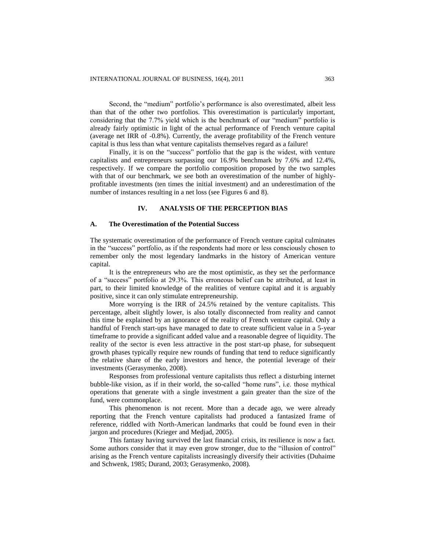Second, the "medium" portfolio's performance is also overestimated, albeit less than that of the other two portfolios. This overestimation is particularly important, considering that the 7.7% yield which is the benchmark of our "medium" portfolio is already fairly optimistic in light of the actual performance of French venture capital (average net IRR of -0.8%). Currently, the average profitability of the French venture capital is thus less than what venture capitalists themselves regard as a failure!

Finally, it is on the "success" portfolio that the gap is the widest, with venture capitalists and entrepreneurs surpassing our 16.9% benchmark by 7.6% and 12.4%, respectively. If we compare the portfolio composition proposed by the two samples with that of our benchmark, we see both an overestimation of the number of highlyprofitable investments (ten times the initial investment) and an underestimation of the number of instances resulting in a net loss (see Figures 6 and 8).

## **IV. ANALYSIS OF THE PERCEPTION BIAS**

### **A. The Overestimation of the Potential Success**

The systematic overestimation of the performance of French venture capital culminates in the "success" portfolio, as if the respondents had more or less consciously chosen to remember only the most legendary landmarks in the history of American venture capital.

It is the entrepreneurs who are the most optimistic, as they set the performance of a "success" portfolio at 29.3%. This erroneous belief can be attributed, at least in part, to their limited knowledge of the realities of venture capital and it is arguably positive, since it can only stimulate entrepreneurship.

More worrying is the IRR of 24.5% retained by the venture capitalists. This percentage, albeit slightly lower, is also totally disconnected from reality and cannot this time be explained by an ignorance of the reality of French venture capital. Only a handful of French start-ups have managed to date to create sufficient value in a 5-year timeframe to provide a significant added value and a reasonable degree of liquidity. The reality of the sector is even less attractive in the post start-up phase, for subsequent growth phases typically require new rounds of funding that tend to reduce significantly the relative share of the early investors and hence, the potential leverage of their investments (Gerasymenko, 2008).

Responses from professional venture capitalists thus reflect a disturbing internet bubble-like vision, as if in their world, the so-called "home runs", i.e. those mythical operations that generate with a single investment a gain greater than the size of the fund, were commonplace.

This phenomenon is not recent. More than a decade ago, we were already reporting that the French venture capitalists had produced a fantasized frame of reference, riddled with North-American landmarks that could be found even in their jargon and procedures (Krieger and Medjad, 2005).

This fantasy having survived the last financial crisis, its resilience is now a fact. Some authors consider that it may even grow stronger, due to the "illusion of control" arising as the French venture capitalists increasingly diversify their activities (Duhaime and Schwenk, 1985; Durand, 2003; Gerasymenko, 2008).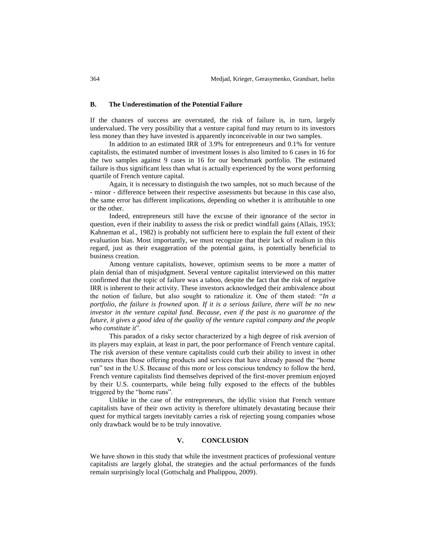### **B. The Underestimation of the Potential Failure**

If the chances of success are overstated, the risk of failure is, in turn, largely undervalued. The very possibility that a venture capital fund may return to its investors less money than they have invested is apparently inconceivable in our two samples.

In addition to an estimated IRR of 3.9% for entrepreneurs and 0.1% for venture capitalists, the estimated number of investment losses is also limited to 6 cases in 16 for the two samples against 9 cases in 16 for our benchmark portfolio. The estimated failure is thus significant less than what is actually experienced by the worst performing quartile of French venture capital.

Again, it is necessary to distinguish the two samples, not so much because of the - minor - difference between their respective assessments but because in this case also, the same error has different implications, depending on whether it is attributable to one or the other.

Indeed, entrepreneurs still have the excuse of their ignorance of the sector in question, even if their inability to assess the risk or predict windfall gains (Allais, 1953; Kahneman et al., 1982) is probably not sufficient here to explain the full extent of their evaluation bias. Most importantly, we must recognize that their lack of realism in this regard, just as their exaggeration of the potential gains, is potentially beneficial to business creation.

Among venture capitalists, however, optimism seems to be more a matter of plain denial than of misjudgment. Several venture capitalist interviewed on this matter confirmed that the topic of failure was a taboo, despite the fact that the risk of negative IRR is inherent to their activity. These investors acknowledged their ambivalence about the notion of failure, but also sought to rationalize it. One of them stated: "*In a portfolio, the failure is frowned upon. If it is a serious failure, there will be no new investor in the venture capital fund. Because, even if the past is no guarantee of the future, it gives a good idea of the quality of the venture capital company and the people who constitute it*".

This paradox of a risky sector characterized by a high degree of risk aversion of its players may explain, at least in part, the poor performance of French venture capital. The risk aversion of these venture capitalists could curb their ability to invest in other ventures than those offering products and services that have already passed the "home run" test in the U.S. Because of this more or less conscious tendency to follow the herd, French venture capitalists find themselves deprived of the first-mover premium enjoyed by their U.S. counterparts, while being fully exposed to the effects of the bubbles triggered by the "home runs".

Unlike in the case of the entrepreneurs, the idyllic vision that French venture capitalists have of their own activity is therefore ultimately devastating because their quest for mythical targets inevitably carries a risk of rejecting young companies whose only drawback would be to be truly innovative.

### **V. CONCLUSION**

We have shown in this study that while the investment practices of professional venture capitalists are largely global, the strategies and the actual performances of the funds remain surprisingly local (Gottschalg and Phalippou, 2009).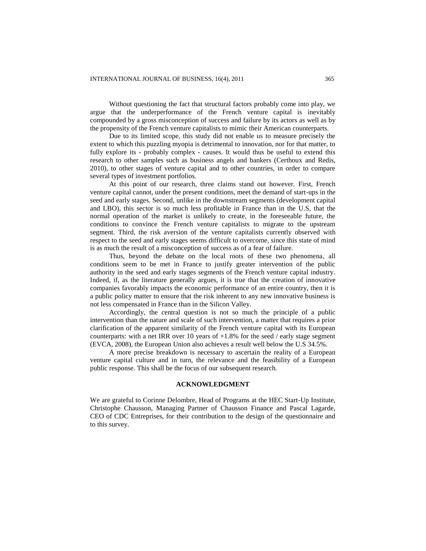Without questioning the fact that structural factors probably come into play, we argue that the underperformance of the French venture capital is inevitably compounded by a gross misconception of success and failure by its actors as well as by the propensity of the French venture capitalists to mimic their American counterparts.

Due to its limited scope, this study did not enable us to measure precisely the extent to which this puzzling myopia is detrimental to innovation, nor for that matter, to fully explore its - probably complex - causes. It would thus be useful to extend this research to other samples such as business angels and bankers (Certhoux and Redis, 2010), to other stages of venture capital and to other countries, in order to compare several types of investment portfolios.

At this point of our research, three claims stand out however. First, French venture capital cannot, under the present conditions, meet the demand of start-ups in the seed and early stages. Second, unlike in the downstream segments (development capital and LBO), this sector is so much less profitable in France than in the U.S, that the normal operation of the market is unlikely to create, in the foreseeable future, the conditions to convince the French venture capitalists to migrate to the upstream segment. Third, the risk aversion of the venture capitalists currently observed with respect to the seed and early stages seems difficult to overcome, since this state of mind is as much the result of a misconception of success as of a fear of failure.

Thus, beyond the debate on the local roots of these two phenomena, all conditions seem to be met in France to justify greater intervention of the public authority in the seed and early stages segments of the French venture capital industry. Indeed, if, as the literature generally argues, it is true that the creation of innovative companies favorably impacts the economic performance of an entire country, then it is a public policy matter to ensure that the risk inherent to any new innovative business is not less compensated in France than in the Silicon Valley.

Accordingly, the central question is not so much the principle of a public intervention than the nature and scale of such intervention, a matter that requires a prior clarification of the apparent similarity of the French venture capital with its European counterparts: with a net IRR over 10 years of  $+1.8\%$  for the seed / early stage segment (EVCA, 2008), the European Union also achieves a result well below the U.S 34.5%.

A more precise breakdown is necessary to ascertain the reality of a European venture capital culture and in turn, the relevance and the feasibility of a European public response. This shall be the focus of our subsequent research.

### **ACKNOWLEDGMENT**

We are grateful to Corinne Delombre, Head of Programs at the HEC Start-Up Institute, Christophe Chausson, Managing Partner of Chausson Finance and Pascal Lagarde, CEO of CDC Entreprises, for their contribution to the design of the questionnaire and to this survey.